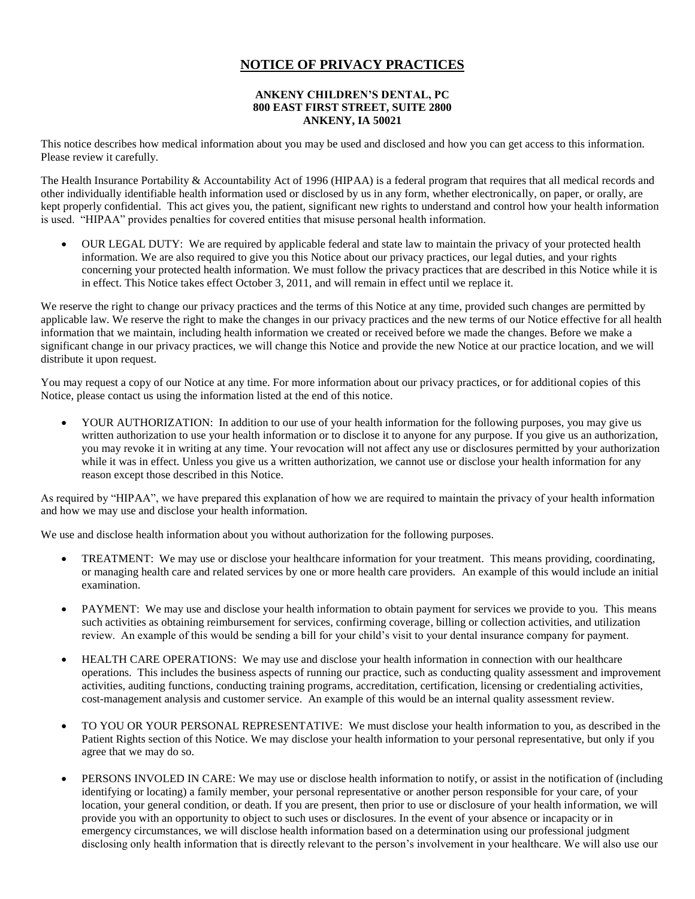## **NOTICE OF PRIVACY PRACTICES**

## **ANKENY CHILDREN'S DENTAL, PC 800 EAST FIRST STREET, SUITE 2800 ANKENY, IA 50021**

This notice describes how medical information about you may be used and disclosed and how you can get access to this information. Please review it carefully.

The Health Insurance Portability & Accountability Act of 1996 (HIPAA) is a federal program that requires that all medical records and other individually identifiable health information used or disclosed by us in any form, whether electronically, on paper, or orally, are kept properly confidential. This act gives you, the patient, significant new rights to understand and control how your health information is used. "HIPAA" provides penalties for covered entities that misuse personal health information.

 OUR LEGAL DUTY: We are required by applicable federal and state law to maintain the privacy of your protected health information. We are also required to give you this Notice about our privacy practices, our legal duties, and your rights concerning your protected health information. We must follow the privacy practices that are described in this Notice while it is in effect. This Notice takes effect October 3, 2011, and will remain in effect until we replace it.

We reserve the right to change our privacy practices and the terms of this Notice at any time, provided such changes are permitted by applicable law. We reserve the right to make the changes in our privacy practices and the new terms of our Notice effective for all health information that we maintain, including health information we created or received before we made the changes. Before we make a significant change in our privacy practices, we will change this Notice and provide the new Notice at our practice location, and we will distribute it upon request.

You may request a copy of our Notice at any time. For more information about our privacy practices, or for additional copies of this Notice, please contact us using the information listed at the end of this notice.

YOUR AUTHORIZATION: In addition to our use of your health information for the following purposes, you may give us written authorization to use your health information or to disclose it to anyone for any purpose. If you give us an authorization, you may revoke it in writing at any time. Your revocation will not affect any use or disclosures permitted by your authorization while it was in effect. Unless you give us a written authorization, we cannot use or disclose your health information for any reason except those described in this Notice.

As required by "HIPAA", we have prepared this explanation of how we are required to maintain the privacy of your health information and how we may use and disclose your health information.

We use and disclose health information about you without authorization for the following purposes.

- TREATMENT: We may use or disclose your healthcare information for your treatment. This means providing, coordinating, or managing health care and related services by one or more health care providers. An example of this would include an initial examination.
- PAYMENT: We may use and disclose your health information to obtain payment for services we provide to you. This means such activities as obtaining reimbursement for services, confirming coverage, billing or collection activities, and utilization review. An example of this would be sending a bill for your child's visit to your dental insurance company for payment.
- HEALTH CARE OPERATIONS: We may use and disclose your health information in connection with our healthcare operations. This includes the business aspects of running our practice, such as conducting quality assessment and improvement activities, auditing functions, conducting training programs, accreditation, certification, licensing or credentialing activities, cost-management analysis and customer service. An example of this would be an internal quality assessment review.
- TO YOU OR YOUR PERSONAL REPRESENTATIVE: We must disclose your health information to you, as described in the Patient Rights section of this Notice. We may disclose your health information to your personal representative, but only if you agree that we may do so.
- PERSONS INVOLED IN CARE: We may use or disclose health information to notify, or assist in the notification of (including identifying or locating) a family member, your personal representative or another person responsible for your care, of your location, your general condition, or death. If you are present, then prior to use or disclosure of your health information, we will provide you with an opportunity to object to such uses or disclosures. In the event of your absence or incapacity or in emergency circumstances, we will disclose health information based on a determination using our professional judgment disclosing only health information that is directly relevant to the person's involvement in your healthcare. We will also use our